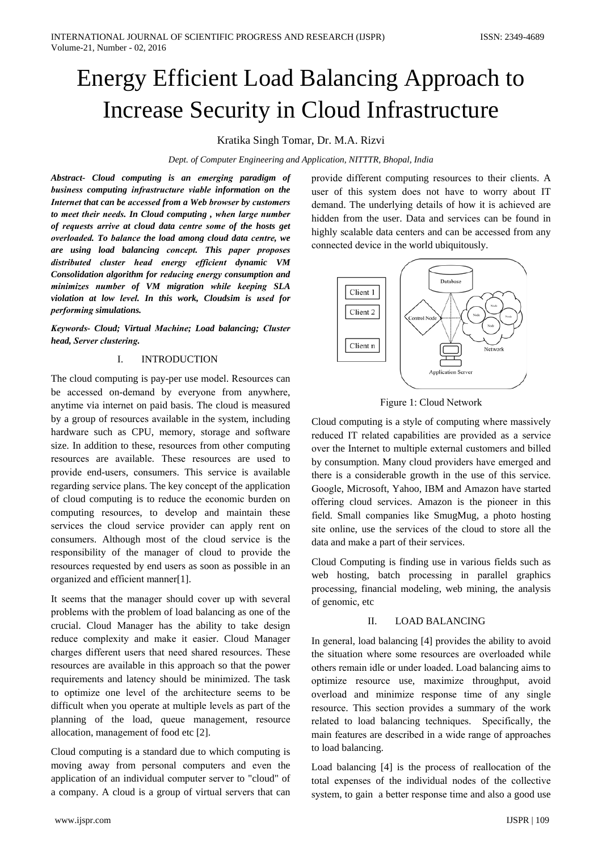# Energy Efficient Load Balancing Approach to Increase Security in Cloud Infrastructure

## Kratika Singh Tomar, Dr. M.A. Rizvi

Dept. of Computer Engineering and Application, NITTTR, Bhopal, India

Abstract- Cloud computing is an emerging paradigm of business computing infrastructure viable information on the Internet that can be accessed from a Web browser by customers to meet their needs. In Cloud computing, when large number of requests arrive at cloud data centre some of the hosts get overloaded. To balance the load among cloud data centre, we are using load balancing concept. This paper proposes distributed cluster head energy efficient dynamic VM Consolidation algorithm for reducing energy consumption and minimizes number of VM migration while keeping SLA violation at low level. In this work, Cloudsim is used for performing simulations.

Keywords- Cloud; Virtual Machine; Load balancing; Cluster head, Server clustering.

#### **INTRODUCTION**  $\mathbf{I}$

The cloud computing is pay-per use model. Resources can be accessed on-demand by everyone from anywhere, anytime via internet on paid basis. The cloud is measured by a group of resources available in the system, including hardware such as CPU, memory, storage and software size. In addition to these, resources from other computing resources are available. These resources are used to provide end-users, consumers. This service is available regarding service plans. The key concept of the application of cloud computing is to reduce the economic burden on computing resources, to develop and maintain these services the cloud service provider can apply rent on consumers. Although most of the cloud service is the responsibility of the manager of cloud to provide the resources requested by end users as soon as possible in an organized and efficient manner[1].

It seems that the manager should cover up with several problems with the problem of load balancing as one of the crucial. Cloud Manager has the ability to take design reduce complexity and make it easier. Cloud Manager charges different users that need shared resources. These resources are available in this approach so that the power requirements and latency should be minimized. The task to optimize one level of the architecture seems to be difficult when you operate at multiple levels as part of the planning of the load, queue management, resource allocation, management of food etc [2].

Cloud computing is a standard due to which computing is moving away from personal computers and even the application of an individual computer server to "cloud" of a company. A cloud is a group of virtual servers that can

provide different computing resources to their clients. A user of this system does not have to worry about IT demand. The underlying details of how it is achieved are hidden from the user. Data and services can be found in highly scalable data centers and can be accessed from any connected device in the world ubiquitously.





Cloud computing is a style of computing where massively reduced IT related capabilities are provided as a service over the Internet to multiple external customers and billed by consumption. Many cloud providers have emerged and there is a considerable growth in the use of this service. Google, Microsoft, Yahoo, IBM and Amazon have started offering cloud services. Amazon is the pioneer in this field. Small companies like SmugMug, a photo hosting site online, use the services of the cloud to store all the data and make a part of their services.

Cloud Computing is finding use in various fields such as web hosting, batch processing in parallel graphics processing, financial modeling, web mining, the analysis of genomic, etc

#### II. **LOAD BALANCING**

In general, load balancing [4] provides the ability to avoid the situation where some resources are overloaded while others remain idle or under loaded. Load balancing aims to optimize resource use, maximize throughput, avoid overload and minimize response time of any single resource. This section provides a summary of the work related to load balancing techniques. Specifically, the main features are described in a wide range of approaches to load balancing.

Load balancing [4] is the process of reallocation of the total expenses of the individual nodes of the collective system, to gain a better response time and also a good use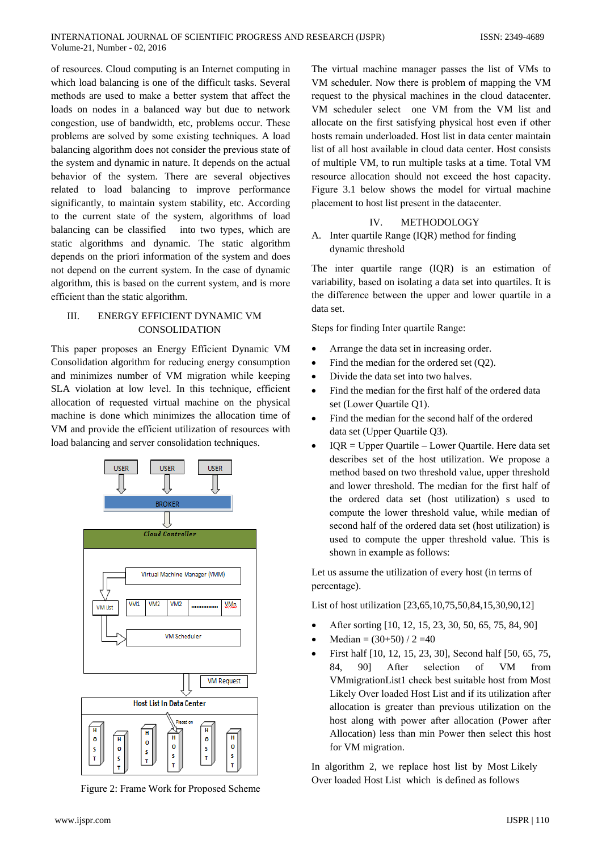of resources. Cloud computing is an Internet computing in which load balancing is one of the difficult tasks. Several methods are used to make a better system that affect the loads on nodes in a balanced way but due to network congestion, use of bandwidth, etc, problems occur. These problems are solved by some existing techniques. A load balancing algorithm does not consider the previous state of the system and dynamic in nature. It depends on the actual behavior of the system. There are several objectives related to load balancing to improve performance significantly, to maintain system stability, etc. According to the current state of the system, algorithms of load balancing can be classified into two types, which are static algorithms and dynamic. The static algorithm depends on the priori information of the system and does not depend on the current system. In the case of dynamic algorithm, this is based on the current system, and is more efficient than the static algorithm.

### **ENERGY EFFICIENT DYNAMIC VM** III. **CONSOLIDATION**

This paper proposes an Energy Efficient Dynamic VM Consolidation algorithm for reducing energy consumption and minimizes number of VM migration while keeping SLA violation at low level. In this technique, efficient allocation of requested virtual machine on the physical machine is done which minimizes the allocation time of VM and provide the efficient utilization of resources with load balancing and server consolidation techniques.



Figure 2: Frame Work for Proposed Scheme

The virtual machine manager passes the list of VMs to VM scheduler. Now there is problem of mapping the VM request to the physical machines in the cloud datacenter. VM scheduler select one VM from the VM list and allocate on the first satisfying physical host even if other hosts remain underloaded. Host list in data center maintain list of all host available in cloud data center. Host consists of multiple VM, to run multiple tasks at a time. Total VM resource allocation should not exceed the host capacity. Figure 3.1 below shows the model for virtual machine placement to host list present in the datacenter.

#### IV. METHODOLOGY

## A. Inter quartile Range (IQR) method for finding dynamic threshold

The inter quartile range (IQR) is an estimation of variability, based on isolating a data set into quartiles. It is the difference between the upper and lower quartile in a data set.

Steps for finding Inter quartile Range:

- Arrange the data set in increasing order.
- Find the median for the ordered set  $(O2)$ .
- Divide the data set into two halves.  $\bullet$
- Find the median for the first half of the ordered data set (Lower Ouartile O1).
- Find the median for the second half of the ordered data set (Upper Quartile Q3).
- $IQR = Upper$  Quartile Lower Quartile. Here data set describes set of the host utilization. We propose a method based on two threshold value, upper threshold and lower threshold. The median for the first half of the ordered data set (host utilization) s used to compute the lower threshold value, while median of second half of the ordered data set (host utilization) is used to compute the upper threshold value. This is shown in example as follows:

Let us assume the utilization of every host (in terms of percentage).

List of host utilization [23,65,10,75,50,84,15,30,90,12]

- After sorting [10, 12, 15, 23, 30, 50, 65, 75, 84, 90]
- Median =  $(30+50) / 2 = 40$
- First half [10, 12, 15, 23, 30], Second half [50, 65, 75, 84. 901 After selection of **VM**  $from$ VMmigrationList1 check best suitable host from Most Likely Over loaded Host List and if its utilization after allocation is greater than previous utilization on the host along with power after allocation (Power after Allocation) less than min Power then select this host for VM migration.

In algorithm 2, we replace host list by Most Likely Over loaded Host List which is defined as follows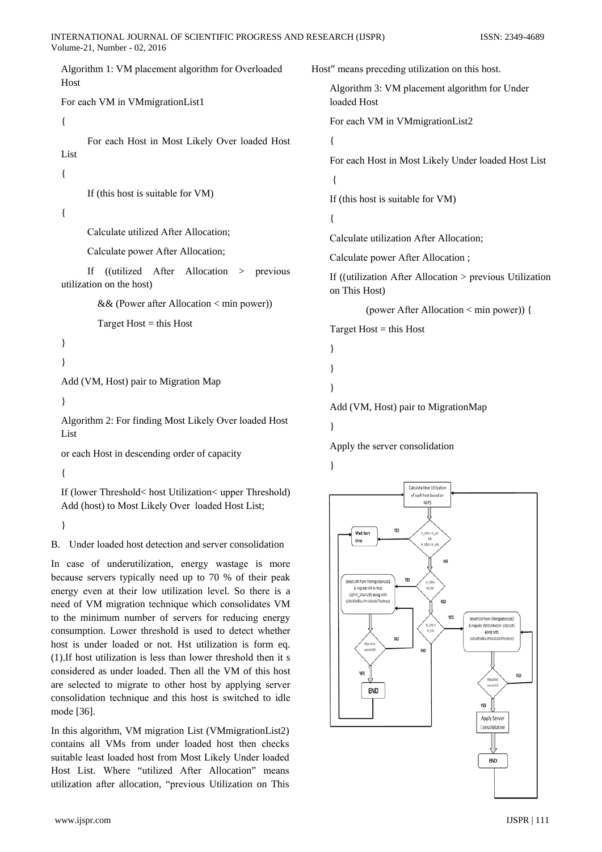Algorithm 1: VM placement algorithm for Overloaded Host

For each VM in VMmigrationList1

 $\{$ 

For each Host in Most Likely Over loaded Host List

 $\{$ 

If (this host is suitable for VM)

 $\{$ 

Calculate utilized After Allocation;

Calculate power After Allocation;

If ((utilized After Allocation > previous utilization on the host)

&& (Power after Allocation < min power))

Target  $Host = this Host$ 

```
\mathcal{E}
```

```
\mathbf{I}
```
Add (VM, Host) pair to Migration Map

Algorithm 2: For finding Most Likely Over loaded Host List

or each Host in descending order of capacity

 $\{$ 

If (lower Threshold < host Utilization < upper Threshold) Add (host) to Most Likely Over loaded Host List;

 $\mathcal{E}$ 

B. Under loaded host detection and server consolidation

In case of underutilization, energy wastage is more because servers typically need up to 70 % of their peak energy even at their low utilization level. So there is a need of VM migration technique which consolidates VM to the minimum number of servers for reducing energy consumption. Lower threshold is used to detect whether host is under loaded or not. Hst utilization is form eq. (1). If host utilization is less than lower threshold then it s considered as under loaded. Then all the VM of this host are selected to migrate to other host by applying server consolidation technique and this host is switched to idle mode [36].

In this algorithm, VM migration List (VMmigrationList2) contains all VMs from under loaded host then checks suitable least loaded host from Most Likely Under loaded Host List. Where "utilized After Allocation" means utilization after allocation, "previous Utilization on This Host" means preceding utilization on this host. Algorithm 3: VM placement algorithm for Under loaded Host For each VM in VMmigrationList2

# $\left\{ \right.$

 $\left\{ \right.$ 

For each Host in Most Likely Under loaded Host List  $\{$ 

If (this host is suitable for VM)

Calculate utilization After Allocation:

Calculate power After Allocation;

If ((utilization After Allocation > previous Utilization on This Host)

(power After Allocation < min power)) {

Target  $Host = this Host$ 

Add (VM, Host) pair to MigrationMap

```
∤
```
 $\mathcal{E}$ 

ļ

ļ

Apply the server consolidation

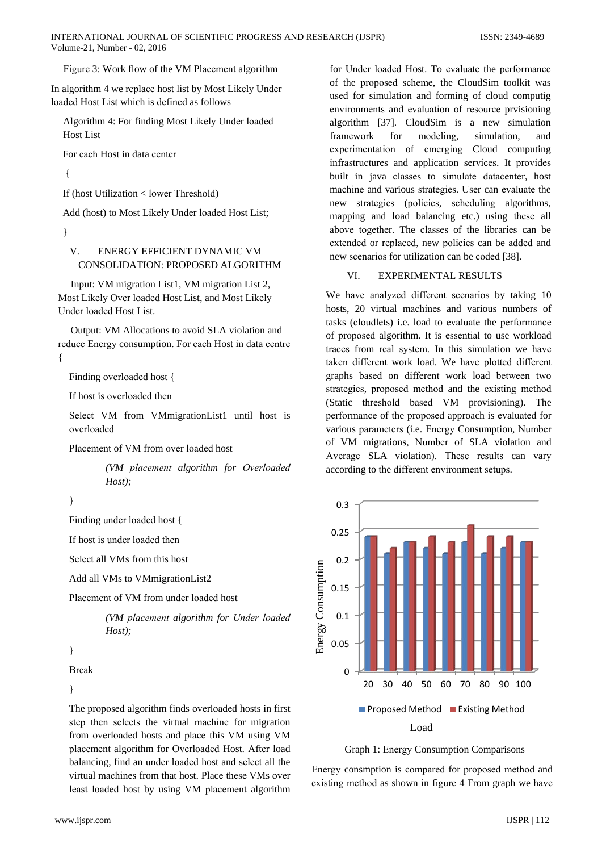Figure 3: Work flow of the VM Placement algorithm

In algorithm 4 we replace host list by Most Likely Under loaded Host List which is defined as follows

Algorithm 4: For finding Most Likely Under loaded **Host List** 

For each Host in data center

 $\left\{ \right.$ 

If (host Utilization < lower Threshold)

Add (host) to Most Likely Under loaded Host List;

 $\mathcal{E}$ 

### $V_{\cdot}$ **ENERGY EFFICIENT DYNAMIC VM** CONSOLIDATION: PROPOSED ALGORITHM

Input: VM migration List1. VM migration List 2. Most Likely Over loaded Host List, and Most Likely Under loaded Host List.

Output: VM Allocations to avoid SLA violation and reduce Energy consumption. For each Host in data centre  $\{$ 

Finding overloaded host {

If host is overloaded then

Select VM from VMmigrationList1 until host is overloaded

Placement of VM from over loaded host

(VM placement algorithm for Overloaded  $Host);$ 

 $\}$ 

Finding under loaded host {

If host is under loaded then

Select all VMs from this host

Add all VMs to VMmigrationList2

Placement of VM from under loaded host

(VM placement algorithm for Under loaded  $Host):$ 

 $\mathcal{E}$ 

**Break** 

 $\mathcal{E}$ 

The proposed algorithm finds overloaded hosts in first step then selects the virtual machine for migration from overloaded hosts and place this VM using VM placement algorithm for Overloaded Host. After load balancing, find an under loaded host and select all the virtual machines from that host. Place these VMs over least loaded host by using VM placement algorithm for Under loaded Host. To evaluate the performance of the proposed scheme, the CloudSim toolkit was used for simulation and forming of cloud computig environments and evaluation of resource prvisioning algorithm [37]. CloudSim is a new simulation for modeling, simulation, framework and experimentation of emerging Cloud computing infrastructures and application services. It provides built in java classes to simulate datacenter, host machine and various strategies. User can evaluate the new strategies (policies, scheduling algorithms, mapping and load balancing etc.) using these all above together. The classes of the libraries can be extended or replaced, new policies can be added and new scenarios for utilization can be coded [38].

#### VI. **EXPERIMENTAL RESULTS**

We have analyzed different scenarios by taking 10 hosts, 20 virtual machines and various numbers of tasks (cloudlets) i.e. load to evaluate the performance of proposed algorithm. It is essential to use workload traces from real system. In this simulation we have taken different work load. We have plotted different graphs based on different work load between two strategies, proposed method and the existing method (Static threshold based VM provisioning). The performance of the proposed approach is evaluated for various parameters (i.e. Energy Consumption, Number of VM migrations, Number of SLA violation and Average SLA violation). These results can vary according to the different environment setups.





Energy consmption is compared for proposed method and existing method as shown in figure 4 From graph we have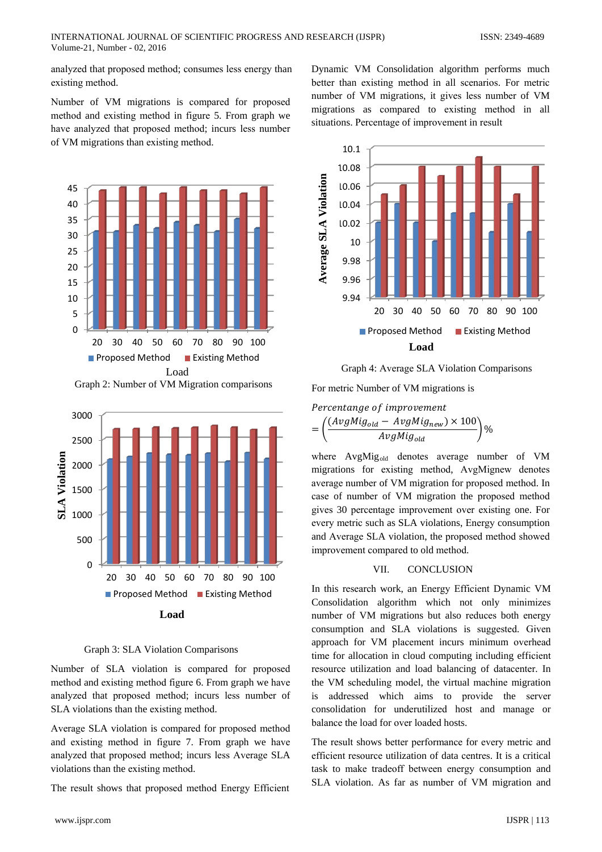analyzed that proposed method; consumes less energy than existing method.

Number of VM migrations is compared for proposed method and existing method in figure 5. From graph we have analyzed that proposed method; incurs less number of VM migrations than existing method.



Graph 2: Number of VM Migration comparisons



**Graph 3: SLA Violation Comparisons** 

Number of SLA violation is compared for proposed method and existing method figure 6. From graph we have analyzed that proposed method; incurs less number of SLA violations than the existing method.

Average SLA violation is compared for proposed method and existing method in figure 7. From graph we have analyzed that proposed method; incurs less Average SLA violations than the existing method.

The result shows that proposed method Energy Efficient

Dynamic VM Consolidation algorithm performs much better than existing method in all scenarios. For metric number of VM migrations, it gives less number of VM migrations as compared to existing method in all situations. Percentage of improvement in result



Graph 4: Average SLA Violation Comparisons

For metric Number of VM migrations is

Percentange of improvement

$$
= \left(\frac{(AvgMig_{old} - AvgMig_{new}) \times 100}{AvgMig_{old}}\right)\%
$$

where AvgMig<sub>old</sub> denotes average number of VM migrations for existing method, AvgMignew denotes average number of VM migration for proposed method. In case of number of VM migration the proposed method gives 30 percentage improvement over existing one. For every metric such as SLA violations, Energy consumption and Average SLA violation, the proposed method showed improvement compared to old method.

#### VII. **CONCLUSION**

In this research work, an Energy Efficient Dynamic VM Consolidation algorithm which not only minimizes number of VM migrations but also reduces both energy consumption and SLA violations is suggested. Given approach for VM placement incurs minimum overhead time for allocation in cloud computing including efficient resource utilization and load balancing of datacenter. In the VM scheduling model, the virtual machine migration is addressed which aims to provide the server consolidation for underutilized host and manage or balance the load for over loaded hosts.

The result shows better performance for every metric and efficient resource utilization of data centres. It is a critical task to make tradeoff between energy consumption and SLA violation. As far as number of VM migration and